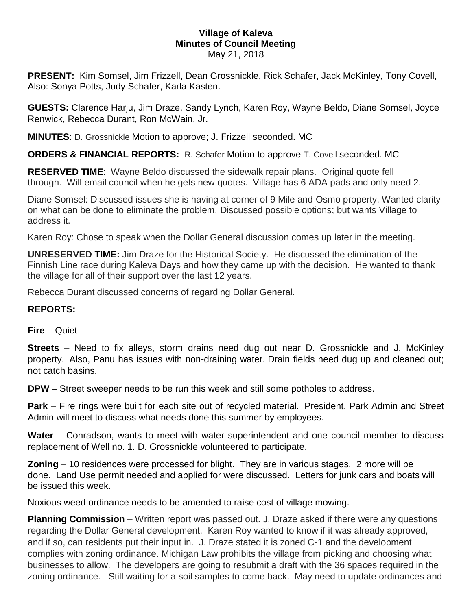#### **Village of Kaleva Minutes of Council Meeting** May 21, 2018

**PRESENT:** Kim Somsel, Jim Frizzell, Dean Grossnickle, Rick Schafer, Jack McKinley, Tony Covell, Also: Sonya Potts, Judy Schafer, Karla Kasten.

**GUESTS:** Clarence Harju, Jim Draze, Sandy Lynch, Karen Roy, Wayne Beldo, Diane Somsel, Joyce Renwick, Rebecca Durant, Ron McWain, Jr.

**MINUTES**: D. Grossnickle Motion to approve; J. Frizzell seconded. MC

**ORDERS & FINANCIAL REPORTS:** R. Schafer Motion to approve T. Covell seconded. MC

**RESERVED TIME**: Wayne Beldo discussed the sidewalk repair plans. Original quote fell through. Will email council when he gets new quotes. Village has 6 ADA pads and only need 2.

Diane Somsel: Discussed issues she is having at corner of 9 Mile and Osmo property. Wanted clarity on what can be done to eliminate the problem. Discussed possible options; but wants Village to address it.

Karen Roy: Chose to speak when the Dollar General discussion comes up later in the meeting.

**UNRESERVED TIME:** Jim Draze for the Historical Society. He discussed the elimination of the Finnish Line race during Kaleva Days and how they came up with the decision. He wanted to thank the village for all of their support over the last 12 years.

Rebecca Durant discussed concerns of regarding Dollar General.

# **REPORTS:**

### **Fire** – Quiet

**Streets** – Need to fix alleys, storm drains need dug out near D. Grossnickle and J. McKinley property. Also, Panu has issues with non-draining water. Drain fields need dug up and cleaned out; not catch basins.

**DPW** – Street sweeper needs to be run this week and still some potholes to address.

**Park** – Fire rings were built for each site out of recycled material. President, Park Admin and Street Admin will meet to discuss what needs done this summer by employees.

**Water** – Conradson, wants to meet with water superintendent and one council member to discuss replacement of Well no. 1. D. Grossnickle volunteered to participate.

**Zoning** – 10 residences were processed for blight. They are in various stages. 2 more will be done. Land Use permit needed and applied for were discussed. Letters for junk cars and boats will be issued this week.

Noxious weed ordinance needs to be amended to raise cost of village mowing.

**Planning Commission** – Written report was passed out. J. Draze asked if there were any questions regarding the Dollar General development. Karen Roy wanted to know if it was already approved, and if so, can residents put their input in. J. Draze stated it is zoned C-1 and the development complies with zoning ordinance. Michigan Law prohibits the village from picking and choosing what businesses to allow. The developers are going to resubmit a draft with the 36 spaces required in the zoning ordinance. Still waiting for a soil samples to come back. May need to update ordinances and